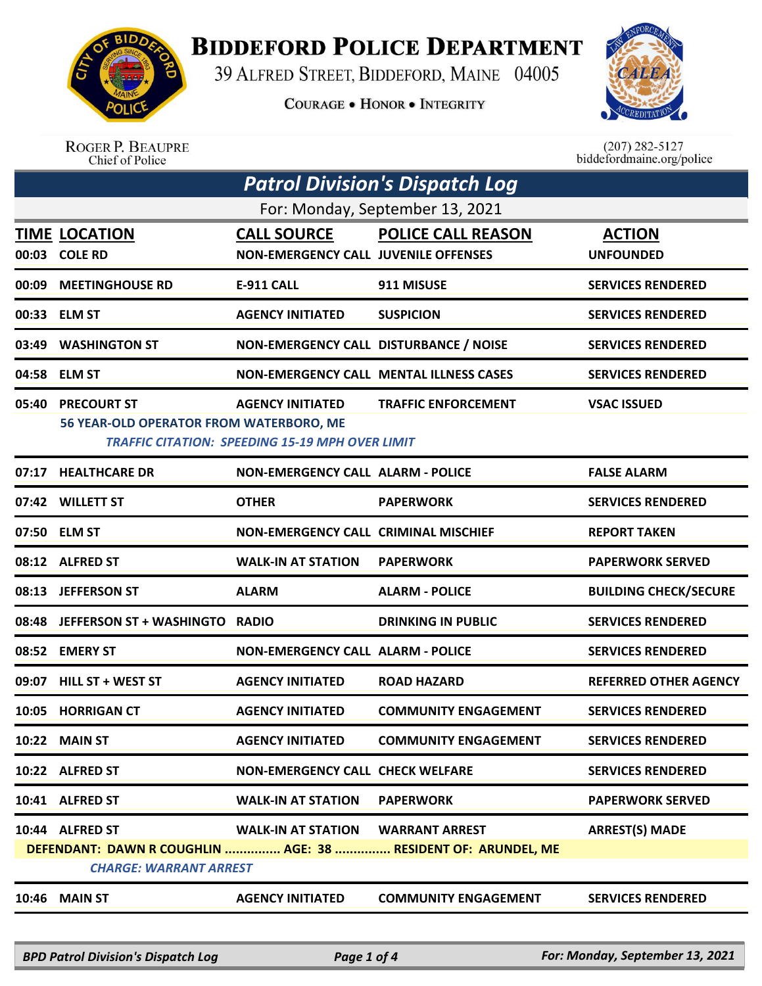

**BIDDEFORD POLICE DEPARTMENT** 

39 ALFRED STREET, BIDDEFORD, MAINE 04005

**COURAGE . HONOR . INTEGRITY** 



| <b>ROGER P. BEAUPRE</b> |
|-------------------------|
| Chief of Police         |

 $(207)$  282-5127<br>biddefordmaine.org/police

|                                 | <b>Patrol Division's Dispatch Log</b>                         |                                                                                   |                                                                                        |                                   |  |  |
|---------------------------------|---------------------------------------------------------------|-----------------------------------------------------------------------------------|----------------------------------------------------------------------------------------|-----------------------------------|--|--|
| For: Monday, September 13, 2021 |                                                               |                                                                                   |                                                                                        |                                   |  |  |
|                                 | <b>TIME LOCATION</b><br>00:03 COLE RD                         | <b>CALL SOURCE</b><br><b>NON-EMERGENCY CALL JUVENILE OFFENSES</b>                 | <b>POLICE CALL REASON</b>                                                              | <b>ACTION</b><br><b>UNFOUNDED</b> |  |  |
| 00:09                           | <b>MEETINGHOUSE RD</b>                                        | <b>E-911 CALL</b>                                                                 | 911 MISUSE                                                                             | <b>SERVICES RENDERED</b>          |  |  |
| 00:33                           | <b>ELM ST</b>                                                 | <b>AGENCY INITIATED</b>                                                           | <b>SUSPICION</b>                                                                       | <b>SERVICES RENDERED</b>          |  |  |
| 03:49                           | <b>WASHINGTON ST</b>                                          | NON-EMERGENCY CALL DISTURBANCE / NOISE                                            |                                                                                        | <b>SERVICES RENDERED</b>          |  |  |
|                                 | 04:58 ELM ST                                                  |                                                                                   | <b>NON-EMERGENCY CALL MENTAL ILLNESS CASES</b>                                         | <b>SERVICES RENDERED</b>          |  |  |
| 05:40                           | <b>PRECOURT ST</b><br>56 YEAR-OLD OPERATOR FROM WATERBORO, ME | <b>AGENCY INITIATED</b><br><b>TRAFFIC CITATION: SPEEDING 15-19 MPH OVER LIMIT</b> | <b>TRAFFIC ENFORCEMENT</b>                                                             | <b>VSAC ISSUED</b>                |  |  |
| 07:17                           | <b>HEALTHCARE DR</b>                                          | <b>NON-EMERGENCY CALL ALARM - POLICE</b>                                          |                                                                                        | <b>FALSE ALARM</b>                |  |  |
|                                 | 07:42 WILLETT ST                                              | <b>OTHER</b>                                                                      | <b>PAPERWORK</b>                                                                       | <b>SERVICES RENDERED</b>          |  |  |
|                                 | 07:50 ELM ST                                                  | <b>NON-EMERGENCY CALL CRIMINAL MISCHIEF</b>                                       |                                                                                        | <b>REPORT TAKEN</b>               |  |  |
|                                 | 08:12 ALFRED ST                                               | <b>WALK-IN AT STATION</b>                                                         | <b>PAPERWORK</b>                                                                       | <b>PAPERWORK SERVED</b>           |  |  |
|                                 | 08:13 JEFFERSON ST                                            | <b>ALARM</b>                                                                      | <b>ALARM - POLICE</b>                                                                  | <b>BUILDING CHECK/SECURE</b>      |  |  |
| 08:48                           | <b>JEFFERSON ST + WASHINGTO</b>                               | <b>RADIO</b>                                                                      | <b>DRINKING IN PUBLIC</b>                                                              | <b>SERVICES RENDERED</b>          |  |  |
| 08:52                           | <b>EMERY ST</b>                                               | <b>NON-EMERGENCY CALL ALARM - POLICE</b>                                          |                                                                                        | <b>SERVICES RENDERED</b>          |  |  |
| 09:07                           | HILL ST + WEST ST                                             | <b>AGENCY INITIATED</b>                                                           | <b>ROAD HAZARD</b>                                                                     | <b>REFERRED OTHER AGENCY</b>      |  |  |
| 10:05                           | <b>HORRIGAN CT</b>                                            | <b>AGENCY INITIATED</b>                                                           | <b>COMMUNITY ENGAGEMENT</b>                                                            | <b>SERVICES RENDERED</b>          |  |  |
|                                 | 10:22 MAIN ST                                                 | <b>AGENCY INITIATED</b>                                                           | <b>COMMUNITY ENGAGEMENT</b>                                                            | <b>SERVICES RENDERED</b>          |  |  |
|                                 | 10:22 ALFRED ST                                               | <b>NON-EMERGENCY CALL CHECK WELFARE</b>                                           |                                                                                        | <b>SERVICES RENDERED</b>          |  |  |
|                                 | 10:41 ALFRED ST                                               | <b>WALK-IN AT STATION</b>                                                         | <b>PAPERWORK</b>                                                                       | <b>PAPERWORK SERVED</b>           |  |  |
|                                 | 10:44 ALFRED ST<br><b>CHARGE: WARRANT ARREST</b>              | <b>WALK-IN AT STATION</b>                                                         | <b>WARRANT ARREST</b><br>DEFENDANT: DAWN R COUGHLIN  AGE: 38  RESIDENT OF: ARUNDEL, ME | <b>ARREST(S) MADE</b>             |  |  |
|                                 | <b>10:46 MAIN ST</b>                                          | <b>AGENCY INITIATED</b>                                                           | <b>COMMUNITY ENGAGEMENT</b>                                                            | <b>SERVICES RENDERED</b>          |  |  |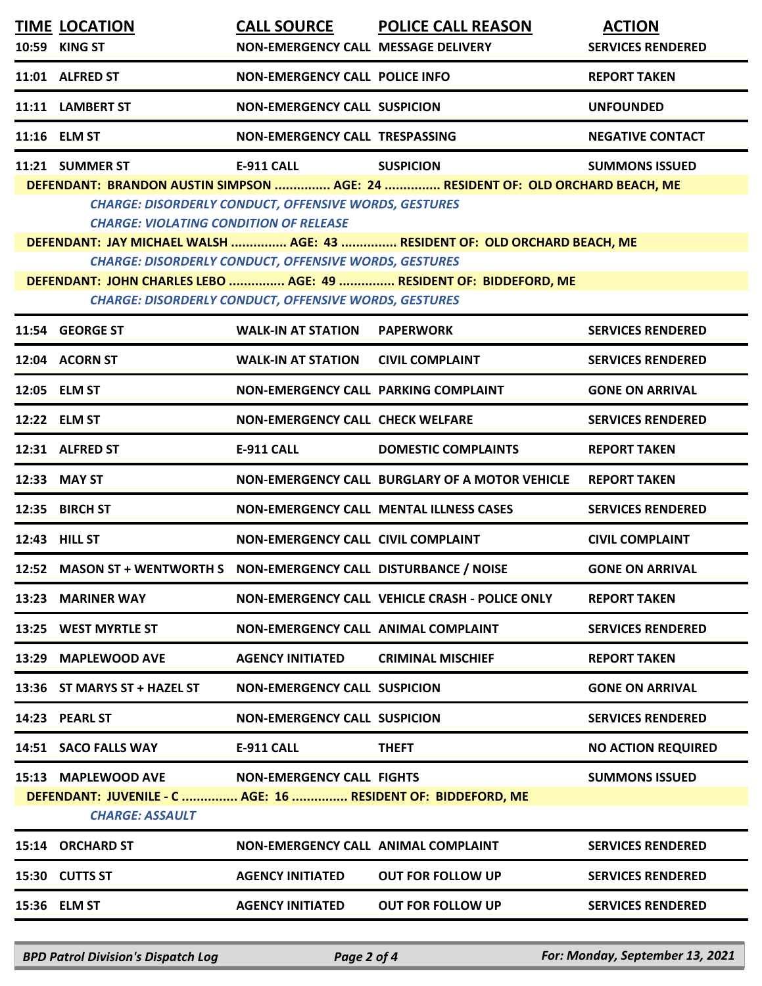| <b>TIME LOCATION</b><br>10:59 KING ST                                                                         | NON-EMERGENCY CALL MESSAGE DELIVERY                                                                                          | CALL SOURCE POLICE CALL REASON                                                                                                                                                  | <b>ACTION</b><br><b>SERVICES RENDERED</b> |
|---------------------------------------------------------------------------------------------------------------|------------------------------------------------------------------------------------------------------------------------------|---------------------------------------------------------------------------------------------------------------------------------------------------------------------------------|-------------------------------------------|
| 11:01 ALFRED ST                                                                                               | <b>NON-EMERGENCY CALL POLICE INFO</b>                                                                                        |                                                                                                                                                                                 | <b>REPORT TAKEN</b>                       |
| 11:11 LAMBERT ST                                                                                              | <b>NON-EMERGENCY CALL SUSPICION</b>                                                                                          |                                                                                                                                                                                 | <b>UNFOUNDED</b>                          |
| 11:16 ELM ST                                                                                                  | NON-EMERGENCY CALL TRESPASSING                                                                                               |                                                                                                                                                                                 | <b>NEGATIVE CONTACT</b>                   |
| 11:21 SUMMER ST<br><b>CHARGE: VIOLATING CONDITION OF RELEASE</b>                                              | <b>E-911 CALL</b><br><b>CHARGE: DISORDERLY CONDUCT, OFFENSIVE WORDS, GESTURES</b>                                            | <b>SUSPICION</b><br>DEFENDANT: BRANDON AUSTIN SIMPSON  AGE: 24  RESIDENT OF: OLD ORCHARD BEACH, ME<br>DEFENDANT: JAY MICHAEL WALSH  AGE: 43  RESIDENT OF: OLD ORCHARD BEACH, ME | <b>SUMMONS ISSUED</b>                     |
|                                                                                                               | <b>CHARGE: DISORDERLY CONDUCT, OFFENSIVE WORDS, GESTURES</b><br><b>CHARGE: DISORDERLY CONDUCT, OFFENSIVE WORDS, GESTURES</b> | DEFENDANT: JOHN CHARLES LEBO  AGE: 49  RESIDENT OF: BIDDEFORD, ME                                                                                                               |                                           |
| 11:54 GEORGE ST                                                                                               | <b>WALK-IN AT STATION</b>                                                                                                    | <b>PAPERWORK</b>                                                                                                                                                                | <b>SERVICES RENDERED</b>                  |
| 12:04 ACORN ST                                                                                                | <b>WALK-IN AT STATION</b>                                                                                                    | <b>CIVIL COMPLAINT</b>                                                                                                                                                          | <b>SERVICES RENDERED</b>                  |
| 12:05 ELM ST                                                                                                  | NON-EMERGENCY CALL PARKING COMPLAINT                                                                                         |                                                                                                                                                                                 | <b>GONE ON ARRIVAL</b>                    |
| 12:22 ELM ST                                                                                                  | <b>NON-EMERGENCY CALL CHECK WELFARE</b>                                                                                      |                                                                                                                                                                                 | <b>SERVICES RENDERED</b>                  |
| 12:31 ALFRED ST                                                                                               | <b>E-911 CALL</b>                                                                                                            | <b>DOMESTIC COMPLAINTS</b>                                                                                                                                                      | <b>REPORT TAKEN</b>                       |
| 12:33 MAY ST                                                                                                  |                                                                                                                              | NON-EMERGENCY CALL BURGLARY OF A MOTOR VEHICLE                                                                                                                                  | <b>REPORT TAKEN</b>                       |
| 12:35 BIRCH ST                                                                                                |                                                                                                                              | <b>NON-EMERGENCY CALL MENTAL ILLNESS CASES</b>                                                                                                                                  | <b>SERVICES RENDERED</b>                  |
| 12:43 HILL ST                                                                                                 | <b>NON-EMERGENCY CALL CIVIL COMPLAINT</b>                                                                                    |                                                                                                                                                                                 | <b>CIVIL COMPLAINT</b>                    |
| 12:52 MASON ST + WENTWORTH S  NON-EMERGENCY CALL DISTURBANCE / NOISE                                          |                                                                                                                              |                                                                                                                                                                                 | <b>GONE ON ARRIVAL</b>                    |
| 13:23 MARINER WAY                                                                                             |                                                                                                                              | NON-EMERGENCY CALL VEHICLE CRASH - POLICE ONLY                                                                                                                                  | <b>REPORT TAKEN</b>                       |
| 13:25 WEST MYRTLE ST                                                                                          | NON-EMERGENCY CALL ANIMAL COMPLAINT                                                                                          |                                                                                                                                                                                 | <b>SERVICES RENDERED</b>                  |
| 13:29 MAPLEWOOD AVE                                                                                           | <b>AGENCY INITIATED</b>                                                                                                      | <b>CRIMINAL MISCHIEF</b>                                                                                                                                                        | <b>REPORT TAKEN</b>                       |
| 13:36 ST MARYS ST + HAZEL ST                                                                                  | <b>NON-EMERGENCY CALL SUSPICION</b>                                                                                          |                                                                                                                                                                                 | <b>GONE ON ARRIVAL</b>                    |
| 14:23 PEARL ST                                                                                                | <b>NON-EMERGENCY CALL SUSPICION</b>                                                                                          |                                                                                                                                                                                 | <b>SERVICES RENDERED</b>                  |
| 14:51 SACO FALLS WAY                                                                                          | <b>E-911 CALL</b>                                                                                                            | <b>THEFT</b>                                                                                                                                                                    | <b>NO ACTION REQUIRED</b>                 |
| 15:13 MAPLEWOOD AVE<br>DEFENDANT: JUVENILE - C  AGE: 16  RESIDENT OF: BIDDEFORD, ME<br><b>CHARGE: ASSAULT</b> | <b>NON-EMERGENCY CALL FIGHTS</b>                                                                                             |                                                                                                                                                                                 | <b>SUMMONS ISSUED</b>                     |
| 15:14 ORCHARD ST                                                                                              | NON-EMERGENCY CALL ANIMAL COMPLAINT                                                                                          |                                                                                                                                                                                 | <b>SERVICES RENDERED</b>                  |
| 15:30 CUTTS ST                                                                                                | <b>AGENCY INITIATED</b>                                                                                                      | <b>OUT FOR FOLLOW UP</b>                                                                                                                                                        | <b>SERVICES RENDERED</b>                  |
| 15:36 ELM ST                                                                                                  | <b>AGENCY INITIATED</b>                                                                                                      | <b>OUT FOR FOLLOW UP</b>                                                                                                                                                        | <b>SERVICES RENDERED</b>                  |

*BPD Patrol Division's Dispatch Log Page 2 of 4 For: Monday, September 13, 2021*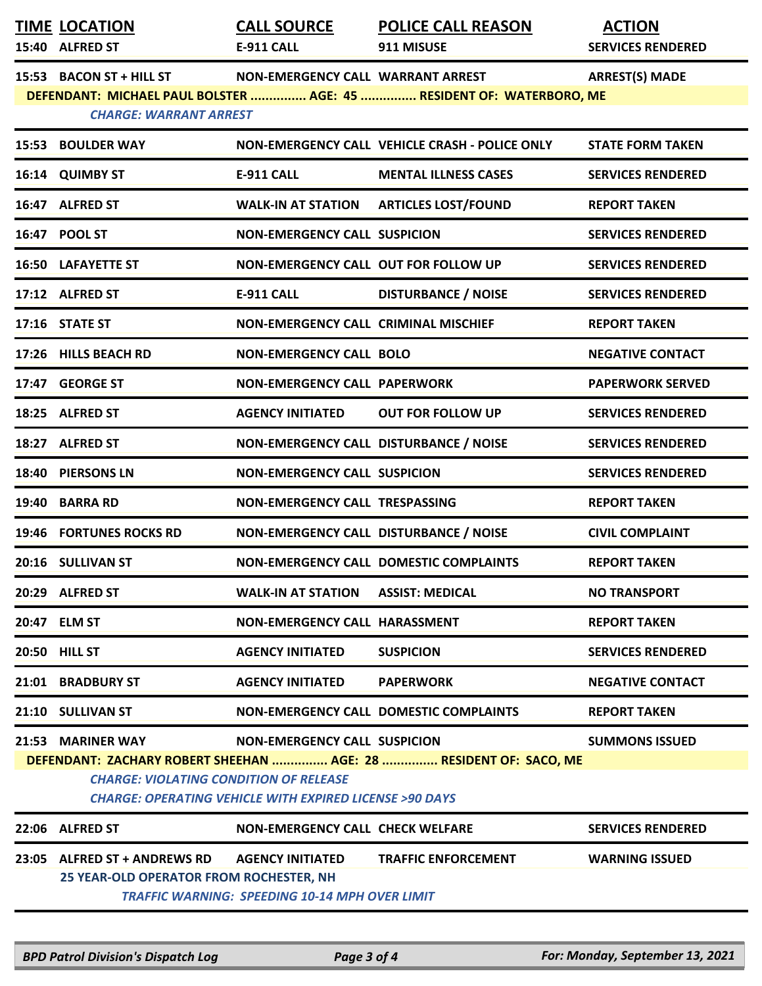|       | <b>TIME LOCATION</b><br>15:40 ALFRED ST                                 | <b>CALL SOURCE</b><br><b>E-911 CALL</b>                                                                  | <b>POLICE CALL REASON</b><br>911 MISUSE                              | <b>ACTION</b><br><b>SERVICES RENDERED</b> |
|-------|-------------------------------------------------------------------------|----------------------------------------------------------------------------------------------------------|----------------------------------------------------------------------|-------------------------------------------|
|       | 15:53 BACON ST + HILL ST<br><b>CHARGE: WARRANT ARREST</b>               | NON-EMERGENCY CALL WARRANT ARREST                                                                        | DEFENDANT: MICHAEL PAUL BOLSTER  AGE: 45  RESIDENT OF: WATERBORO, ME | <b>ARREST(S) MADE</b>                     |
|       | <b>15:53 BOULDER WAY</b>                                                |                                                                                                          | NON-EMERGENCY CALL VEHICLE CRASH - POLICE ONLY                       | <b>STATE FORM TAKEN</b>                   |
|       | 16:14 QUIMBY ST                                                         | <b>E-911 CALL</b>                                                                                        | <b>MENTAL ILLNESS CASES</b>                                          | <b>SERVICES RENDERED</b>                  |
|       | 16:47 ALFRED ST                                                         | <b>WALK-IN AT STATION</b>                                                                                | <b>ARTICLES LOST/FOUND</b>                                           | <b>REPORT TAKEN</b>                       |
|       | 16:47 POOL ST                                                           | <b>NON-EMERGENCY CALL SUSPICION</b>                                                                      |                                                                      | <b>SERVICES RENDERED</b>                  |
|       | <b>16:50 LAFAYETTE ST</b>                                               | <b>NON-EMERGENCY CALL OUT FOR FOLLOW UP</b>                                                              |                                                                      | <b>SERVICES RENDERED</b>                  |
|       | 17:12 ALFRED ST                                                         | <b>E-911 CALL</b>                                                                                        | <b>DISTURBANCE / NOISE</b>                                           | <b>SERVICES RENDERED</b>                  |
|       | <b>17:16 STATE ST</b>                                                   | <b>NON-EMERGENCY CALL CRIMINAL MISCHIEF</b>                                                              |                                                                      | <b>REPORT TAKEN</b>                       |
|       | 17:26 HILLS BEACH RD                                                    | <b>NON-EMERGENCY CALL BOLO</b>                                                                           |                                                                      | <b>NEGATIVE CONTACT</b>                   |
|       | 17:47 GEORGE ST                                                         | <b>NON-EMERGENCY CALL PAPERWORK</b>                                                                      |                                                                      | <b>PAPERWORK SERVED</b>                   |
|       | 18:25 ALFRED ST                                                         | <b>AGENCY INITIATED</b>                                                                                  | <b>OUT FOR FOLLOW UP</b>                                             | <b>SERVICES RENDERED</b>                  |
|       | 18:27 ALFRED ST                                                         | NON-EMERGENCY CALL DISTURBANCE / NOISE                                                                   |                                                                      | <b>SERVICES RENDERED</b>                  |
| 18:40 | <b>PIERSONS LN</b>                                                      | <b>NON-EMERGENCY CALL SUSPICION</b>                                                                      |                                                                      | <b>SERVICES RENDERED</b>                  |
| 19:40 | <b>BARRA RD</b>                                                         | NON-EMERGENCY CALL TRESPASSING                                                                           |                                                                      | <b>REPORT TAKEN</b>                       |
|       | 19:46 FORTUNES ROCKS RD                                                 | NON-EMERGENCY CALL DISTURBANCE / NOISE                                                                   |                                                                      | <b>CIVIL COMPLAINT</b>                    |
|       | 20:16 SULLIVAN ST                                                       |                                                                                                          | NON-EMERGENCY CALL DOMESTIC COMPLAINTS                               | <b>REPORT TAKEN</b>                       |
|       | 20:29 ALFRED ST                                                         | WALK-IN AT STATION ASSIST: MEDICAL                                                                       |                                                                      | <b>NO TRANSPORT</b>                       |
|       | 20:47 ELM ST                                                            | NON-EMERGENCY CALL HARASSMENT                                                                            |                                                                      | <b>REPORT TAKEN</b>                       |
|       | 20:50 HILL ST                                                           | <b>AGENCY INITIATED</b>                                                                                  | <b>SUSPICION</b>                                                     | <b>SERVICES RENDERED</b>                  |
|       | 21:01 BRADBURY ST                                                       | <b>AGENCY INITIATED</b>                                                                                  | <b>PAPERWORK</b>                                                     | <b>NEGATIVE CONTACT</b>                   |
|       | 21:10 SULLIVAN ST                                                       |                                                                                                          | <b>NON-EMERGENCY CALL DOMESTIC COMPLAINTS</b>                        | <b>REPORT TAKEN</b>                       |
|       | 21:53 MARINER WAY<br><b>CHARGE: VIOLATING CONDITION OF RELEASE</b>      | <b>NON-EMERGENCY CALL SUSPICION</b><br><b>CHARGE: OPERATING VEHICLE WITH EXPIRED LICENSE &gt;90 DAYS</b> | DEFENDANT: ZACHARY ROBERT SHEEHAN  AGE: 28  RESIDENT OF: SACO, ME    | <b>SUMMONS ISSUED</b>                     |
|       | 22:06 ALFRED ST                                                         | <b>NON-EMERGENCY CALL CHECK WELFARE</b>                                                                  |                                                                      | <b>SERVICES RENDERED</b>                  |
|       | 23:05 ALFRED ST + ANDREWS RD<br>25 YEAR-OLD OPERATOR FROM ROCHESTER, NH | <b>AGENCY INITIATED</b><br><b>TRAFFIC WARNING: SPEEDING 10-14 MPH OVER LIMIT</b>                         | <b>TRAFFIC ENFORCEMENT</b>                                           | <b>WARNING ISSUED</b>                     |

*BPD Patrol Division's Dispatch Log Page 3 of 4 For: Monday, September 13, 2021*